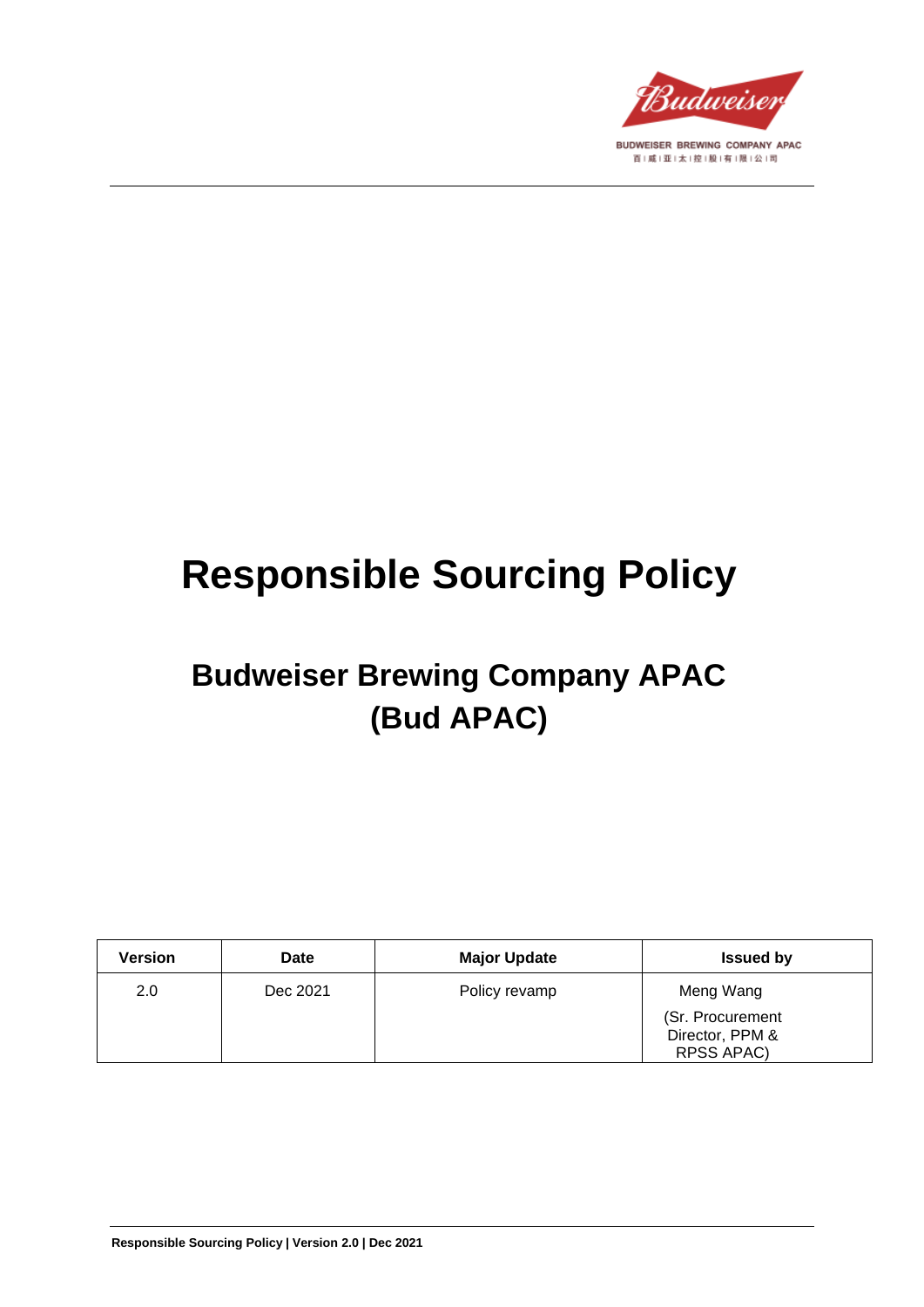

# **Responsible Sourcing Policy**

## **Budweiser Brewing Company APAC (Bud APAC)**

| <b>Version</b> | <b>Date</b> | <b>Major Update</b> | <b>Issued by</b>                    |
|----------------|-------------|---------------------|-------------------------------------|
| 2.0            | Dec 2021    | Policy revamp       | Meng Wang                           |
|                |             |                     | (Sr. Procurement<br>Director, PPM & |
|                |             |                     | <b>RPSS APAC)</b>                   |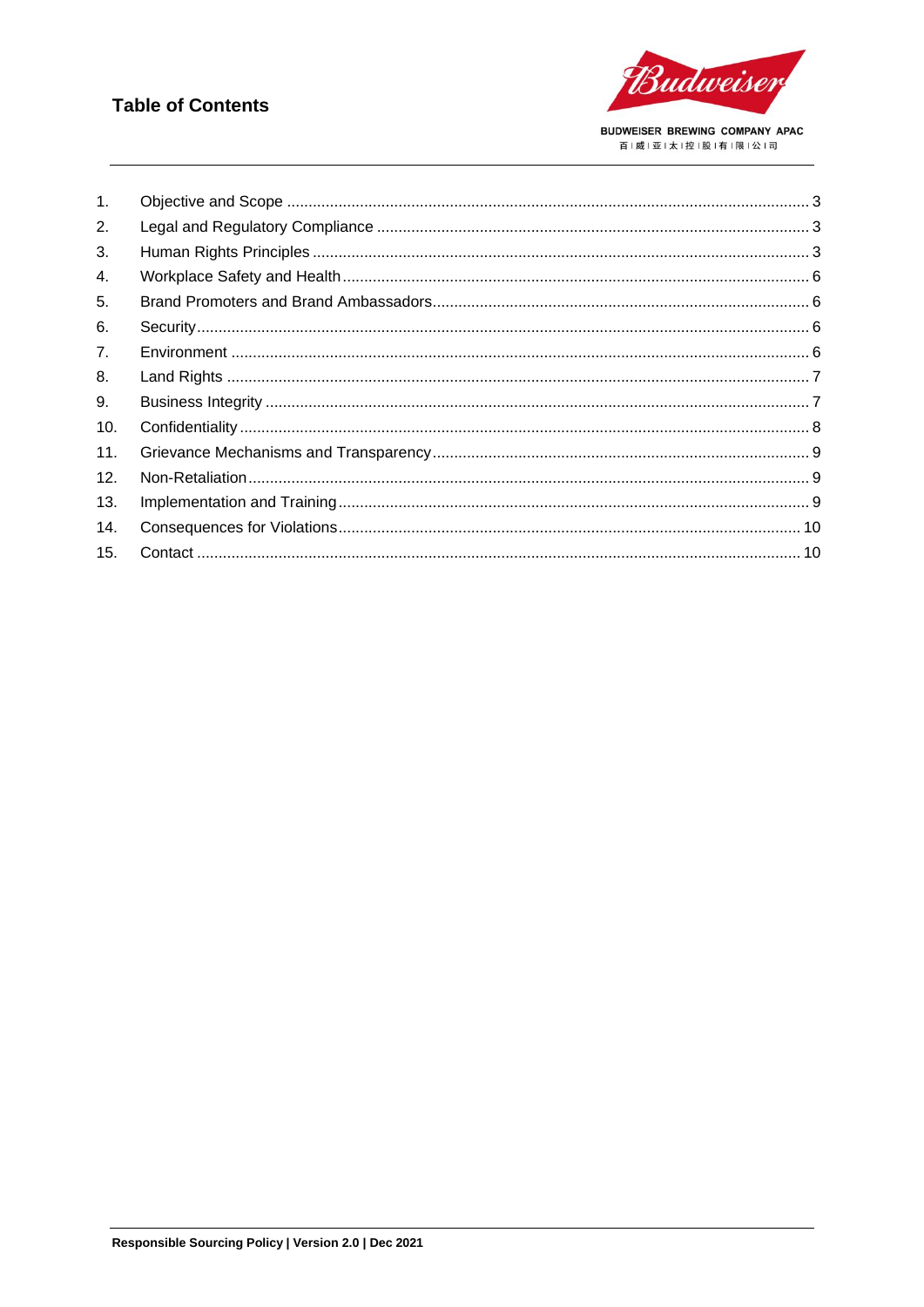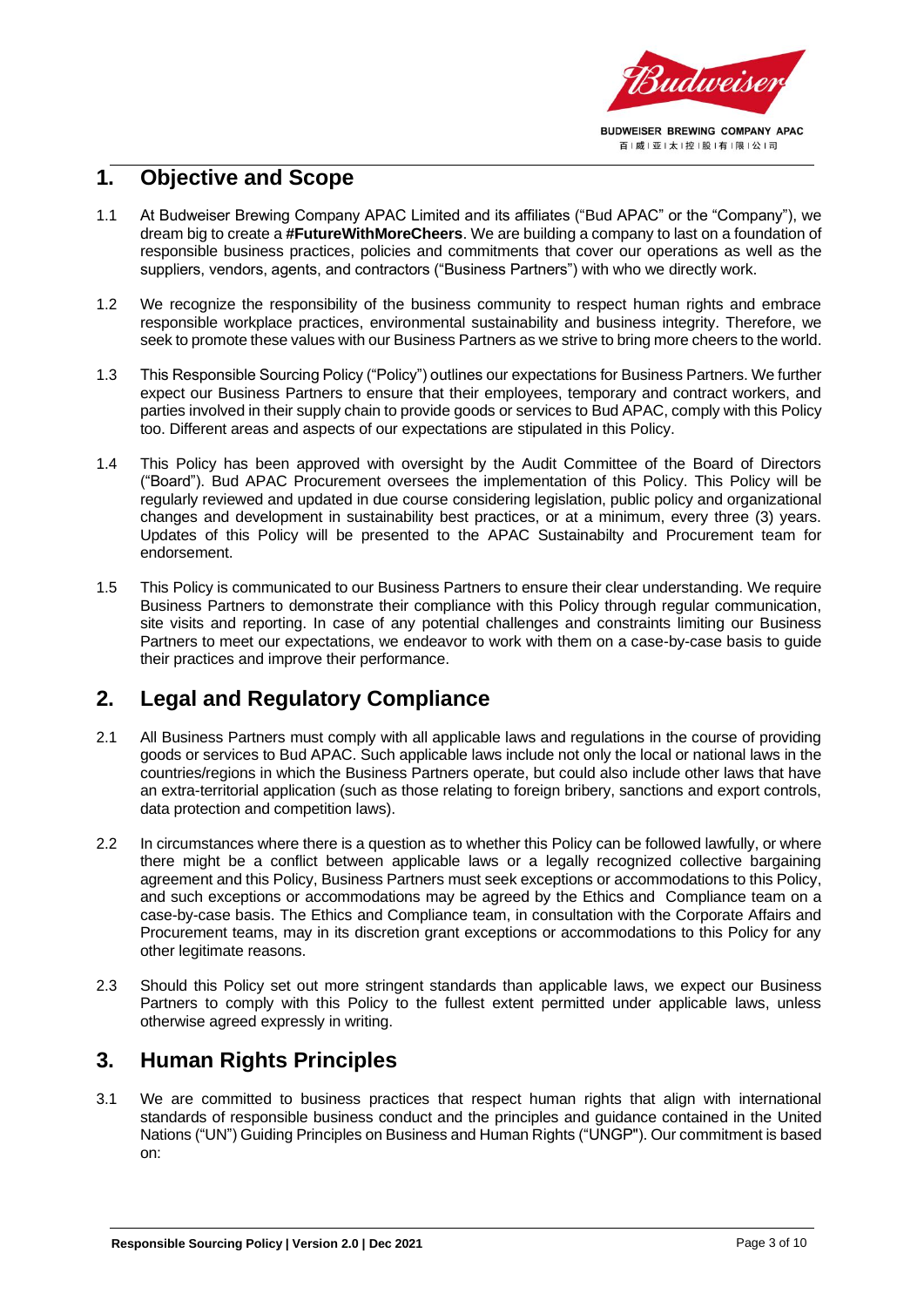

## <span id="page-2-0"></span>**1. Objective and Scope**

- 1.1 At Budweiser Brewing Company APAC Limited and its affiliates ("Bud APAC" or the "Company"), we dream big to create a **#FutureWithMoreCheers**. We are building a company to last on a foundation of responsible business practices, policies and commitments that cover our operations as well as the suppliers, vendors, agents, and contractors ("Business Partners") with who we directly work.
- 1.2 We recognize the responsibility of the business community to respect human rights and embrace responsible workplace practices, environmental sustainability and business integrity. Therefore, we seek to promote these values with our Business Partners as we strive to bring more cheers to the world.
- 1.3 This Responsible Sourcing Policy ("Policy") outlines our expectations for Business Partners. We further expect our Business Partners to ensure that their employees, temporary and contract workers, and parties involved in their supply chain to provide goods or services to Bud APAC, comply with this Policy too. Different areas and aspects of our expectations are stipulated in this Policy.
- 1.4 This Policy has been approved with oversight by the Audit Committee of the Board of Directors ("Board"). Bud APAC Procurement oversees the implementation of this Policy. This Policy will be regularly reviewed and updated in due course considering legislation, public policy and organizational changes and development in sustainability best practices, or at a minimum, every three (3) years. Updates of this Policy will be presented to the APAC Sustainabilty and Procurement team for endorsement.
- 1.5 This Policy is communicated to our Business Partners to ensure their clear understanding. We require Business Partners to demonstrate their compliance with this Policy through regular communication, site visits and reporting. In case of any potential challenges and constraints limiting our Business Partners to meet our expectations, we endeavor to work with them on a case-by-case basis to guide their practices and improve their performance.

## <span id="page-2-1"></span>**2. Legal and Regulatory Compliance**

- 2.1 All Business Partners must comply with all applicable laws and regulations in the course of providing goods or services to Bud APAC. Such applicable laws include not only the local or national laws in the countries/regions in which the Business Partners operate, but could also include other laws that have an extra-territorial application (such as those relating to foreign bribery, sanctions and export controls, data protection and competition laws).
- 2.2 In circumstances where there is a question as to whether this Policy can be followed lawfully, or where there might be a conflict between applicable laws or a legally recognized collective bargaining agreement and this Policy, Business Partners must seek exceptions or accommodations to this Policy, and such exceptions or accommodations may be agreed by the Ethics and Compliance team on a case-by-case basis. The Ethics and Compliance team, in consultation with the Corporate Affairs and Procurement teams, may in its discretion grant exceptions or accommodations to this Policy for any other legitimate reasons.
- 2.3 Should this Policy set out more stringent standards than applicable laws, we expect our Business Partners to comply with this Policy to the fullest extent permitted under applicable laws, unless otherwise agreed expressly in writing.

## <span id="page-2-2"></span>**3. Human Rights Principles**

3.1 We are committed to business practices that respect human rights that align with international standards of responsible business conduct and the principles and guidance contained in the United Nations ("UN") Guiding Principles on Business and Human Rights ("UNGP"). Our commitment is based on: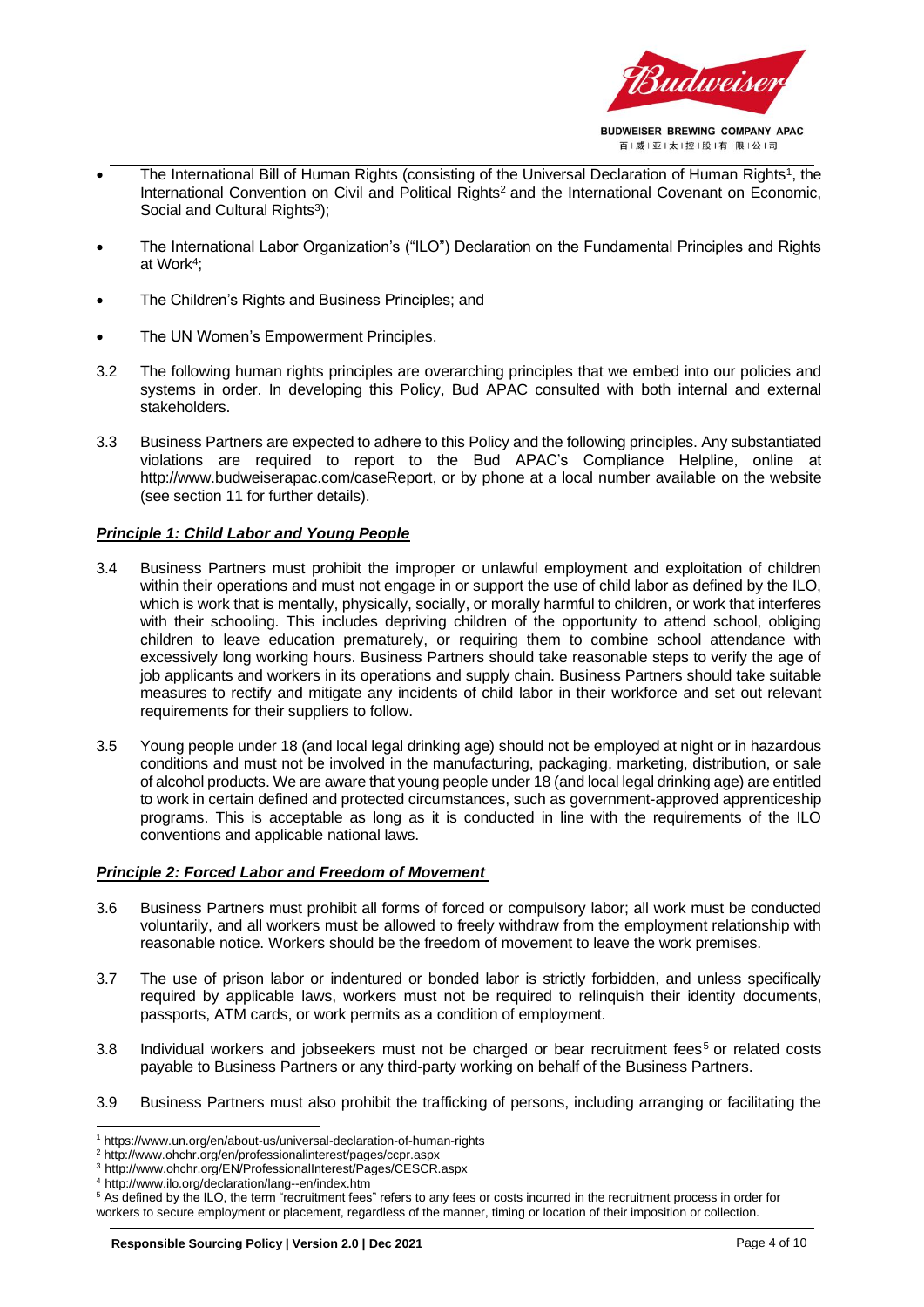

- The International Bill of Human Rights (consisting of the Universal Declaration of Human Rights<sup>1</sup>, the International Convention on Civil and Political Rights<sup>2</sup> and the International Covenant on Economic, Social and Cultural Rights<sup>3</sup>);
- The International Labor Organization's ("ILO") Declaration on the Fundamental Principles and Rights at Work<sup>4</sup> ;
- The Children's Rights and Business Principles; and
- The UN Women's Empowerment Principles.
- 3.2 The following human rights principles are overarching principles that we embed into our policies and systems in order. In developing this Policy, Bud APAC consulted with both internal and external stakeholders.
- 3.3 Business Partners are expected to adhere to this Policy and the following principles. Any substantiated violations are required to report to the Bud APAC's Compliance Helpline, online at http://www.budweiserapac.com/caseReport, or by phone at a local number available on the website (see section 11 for further details).

#### *Principle 1: Child Labor and Young People*

- 3.4 Business Partners must prohibit the improper or unlawful employment and exploitation of children within their operations and must not engage in or support the use of child labor as defined by the ILO, which is work that is mentally, physically, socially, or morally harmful to children, or work that interferes with their schooling. This includes depriving children of the opportunity to attend school, obliging children to leave education prematurely, or requiring them to combine school attendance with excessively long working hours. Business Partners should take reasonable steps to verify the age of job applicants and workers in its operations and supply chain. Business Partners should take suitable measures to rectify and mitigate any incidents of child labor in their workforce and set out relevant requirements for their suppliers to follow.
- 3.5 Young people under 18 (and local legal drinking age) should not be employed at night or in hazardous conditions and must not be involved in the manufacturing, packaging, marketing, distribution, or sale of alcohol products. We are aware that young people under 18 (and local legal drinking age) are entitled to work in certain defined and protected circumstances, such as government-approved apprenticeship programs. This is acceptable as long as it is conducted in line with the requirements of the ILO conventions and applicable national laws.

#### *Principle 2: Forced Labor and Freedom of Movement*

- 3.6 Business Partners must prohibit all forms of forced or compulsory labor; all work must be conducted voluntarily, and all workers must be allowed to freely withdraw from the employment relationship with reasonable notice. Workers should be the freedom of movement to leave the work premises.
- 3.7 The use of prison labor or indentured or bonded labor is strictly forbidden, and unless specifically required by applicable laws, workers must not be required to relinquish their identity documents, passports, ATM cards, or work permits as a condition of employment.
- 3.8 Individual workers and jobseekers must not be charged or bear recruitment fees<sup>5</sup> or related costs payable to Business Partners or any third-party working on behalf of the Business Partners.
- 3.9 Business Partners must also prohibit the trafficking of persons, including arranging or facilitating the

<sup>1</sup> https://www.un.org/en/about-us/universal-declaration-of-human-rights

<sup>2</sup> http://www.ohchr.org/en/professionalinterest/pages/ccpr.aspx

<sup>3</sup> http://www.ohchr.org/EN/ProfessionalInterest/Pages/CESCR.aspx

<sup>4</sup> http://www.ilo.org/declaration/lang--en/index.htm

<sup>5</sup> As defined by the ILO, the term "recruitment fees" refers to any fees or costs incurred in the recruitment process in order for workers to secure employment or placement, regardless of the manner, timing or location of their imposition or collection.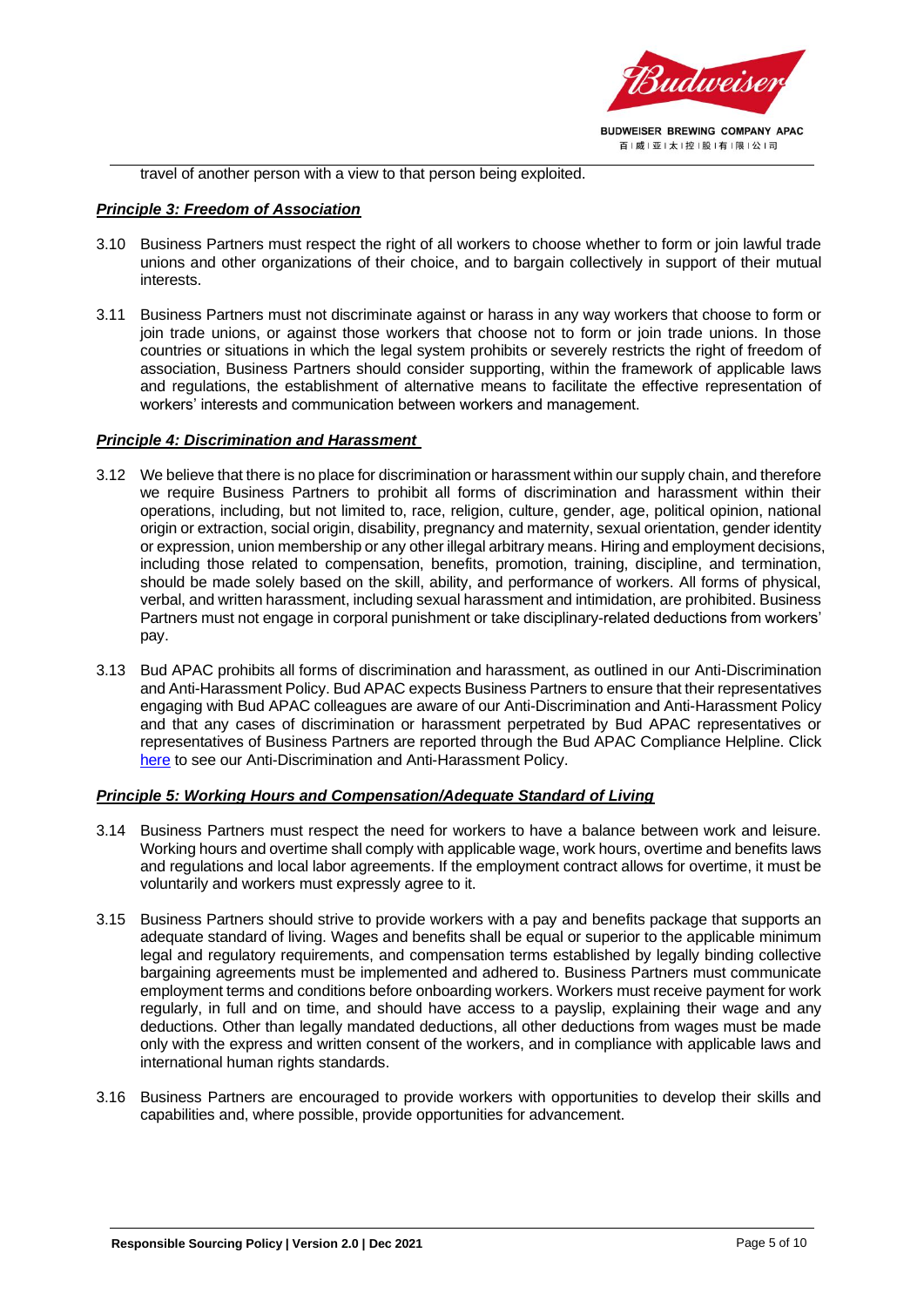

travel of another person with a view to that person being exploited.

#### *Principle 3: Freedom of Association*

- 3.10 Business Partners must respect the right of all workers to choose whether to form or join lawful trade unions and other organizations of their choice, and to bargain collectively in support of their mutual interests.
- 3.11 Business Partners must not discriminate against or harass in any way workers that choose to form or join trade unions, or against those workers that choose not to form or join trade unions. In those countries or situations in which the legal system prohibits or severely restricts the right of freedom of association, Business Partners should consider supporting, within the framework of applicable laws and regulations, the establishment of alternative means to facilitate the effective representation of workers' interests and communication between workers and management.

#### *Principle 4: Discrimination and Harassment*

- 3.12 We believe that there is no place for discrimination or harassment within our supply chain, and therefore we require Business Partners to prohibit all forms of discrimination and harassment within their operations, including, but not limited to, race, religion, culture, gender, age, political opinion, national origin or extraction, social origin, disability, pregnancy and maternity, sexual orientation, gender identity or expression, union membership or any other illegal arbitrary means. Hiring and employment decisions, including those related to compensation, benefits, promotion, training, discipline, and termination, should be made solely based on the skill, ability, and performance of workers. All forms of physical, verbal, and written harassment, including sexual harassment and intimidation, are prohibited. Business Partners must not engage in corporal punishment or take disciplinary-related deductions from workers' pay.
- 3.13 Bud APAC prohibits all forms of discrimination and harassment, as outlined in our Anti-Discrimination and Anti-Harassment Policy. Bud APAC expects Business Partners to ensure that their representatives engaging with Bud APAC colleagues are aware of our Anti-Discrimination and Anti-Harassment Policy and that any cases of discrimination or harassment perpetrated by Bud APAC representatives or representatives of Business Partners are reported through the Bud APAC Compliance Helpline. Click [here](https://budweiserapac.com/ace_files/files/policy2020/BUD%20APAC%20Anti-Harassment%20%20Anti-Discrimination%20Policy%20-%20EN.pdf) to see our Anti-Discrimination and Anti-Harassment Policy.

#### *Principle 5: Working Hours and Compensation/Adequate Standard of Living*

- 3.14 Business Partners must respect the need for workers to have a balance between work and leisure. Working hours and overtime shall comply with applicable wage, work hours, overtime and benefits laws and regulations and local labor agreements. If the employment contract allows for overtime, it must be voluntarily and workers must expressly agree to it.
- 3.15 Business Partners should strive to provide workers with a pay and benefits package that supports an adequate standard of living. Wages and benefits shall be equal or superior to the applicable minimum legal and regulatory requirements, and compensation terms established by legally binding collective bargaining agreements must be implemented and adhered to. Business Partners must communicate employment terms and conditions before onboarding workers. Workers must receive payment for work regularly, in full and on time, and should have access to a payslip, explaining their wage and any deductions. Other than legally mandated deductions, all other deductions from wages must be made only with the express and written consent of the workers, and in compliance with applicable laws and international human rights standards.
- 3.16 Business Partners are encouraged to provide workers with opportunities to develop their skills and capabilities and, where possible, provide opportunities for advancement.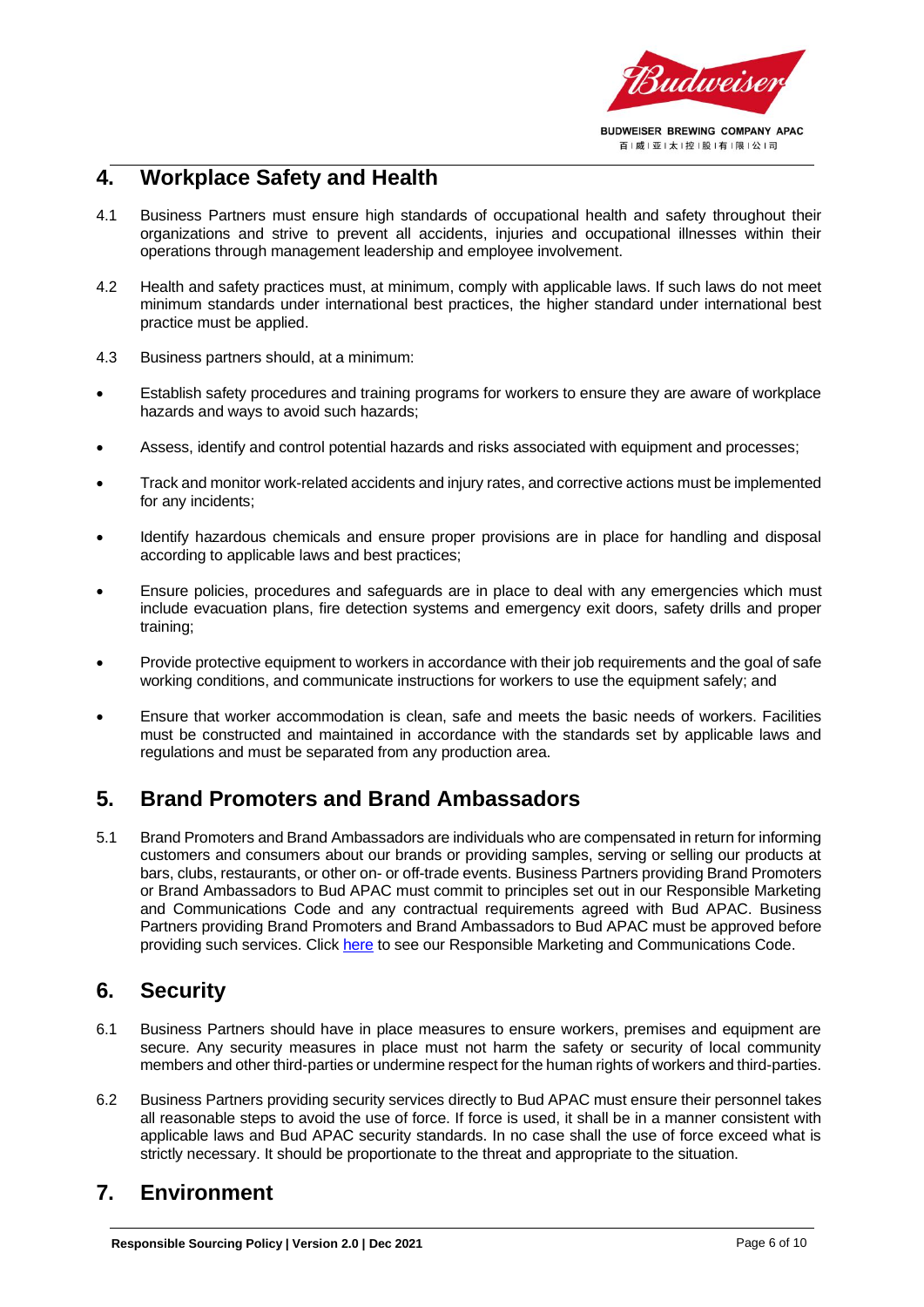

## <span id="page-5-0"></span>**4. Workplace Safety and Health**

- 4.1 Business Partners must ensure high standards of occupational health and safety throughout their organizations and strive to prevent all accidents, injuries and occupational illnesses within their operations through management leadership and employee involvement.
- 4.2 Health and safety practices must, at minimum, comply with applicable laws. If such laws do not meet minimum standards under international best practices, the higher standard under international best practice must be applied.
- 4.3 Business partners should, at a minimum:
- Establish safety procedures and training programs for workers to ensure they are aware of workplace hazards and ways to avoid such hazards;
- Assess, identify and control potential hazards and risks associated with equipment and processes;
- Track and monitor work-related accidents and injury rates, and corrective actions must be implemented for any incidents;
- Identify hazardous chemicals and ensure proper provisions are in place for handling and disposal according to applicable laws and best practices;
- Ensure policies, procedures and safeguards are in place to deal with any emergencies which must include evacuation plans, fire detection systems and emergency exit doors, safety drills and proper training;
- Provide protective equipment to workers in accordance with their job requirements and the goal of safe working conditions, and communicate instructions for workers to use the equipment safely; and
- Ensure that worker accommodation is clean, safe and meets the basic needs of workers. Facilities must be constructed and maintained in accordance with the standards set by applicable laws and regulations and must be separated from any production area.

## <span id="page-5-1"></span>**5. Brand Promoters and Brand Ambassadors**

5.1 Brand Promoters and Brand Ambassadors are individuals who are compensated in return for informing customers and consumers about our brands or providing samples, serving or selling our products at bars, clubs, restaurants, or other on- or off-trade events. Business Partners providing Brand Promoters or Brand Ambassadors to Bud APAC must commit to principles set out in our Responsible Marketing and Communications Code and any contractual requirements agreed with Bud APAC. Business Partners providing Brand Promoters and Brand Ambassadors to Bud APAC must be approved before providing such services. Click [here](https://budweiserapac.com/ace_files/files/policy2020/BUD%20APAC%20Responsible%20Marketing%20and%20Communications%20Codes%20-%20EN.pdf) to see our Responsible Marketing and Communications Code.

## <span id="page-5-2"></span>**6. Security**

- 6.1 Business Partners should have in place measures to ensure workers, premises and equipment are secure. Any security measures in place must not harm the safety or security of local community members and other third-parties or undermine respect for the human rights of workers and third-parties.
- 6.2 Business Partners providing security services directly to Bud APAC must ensure their personnel takes all reasonable steps to avoid the use of force. If force is used, it shall be in a manner consistent with applicable laws and Bud APAC security standards. In no case shall the use of force exceed what is strictly necessary. It should be proportionate to the threat and appropriate to the situation.

## <span id="page-5-3"></span>**7. Environment**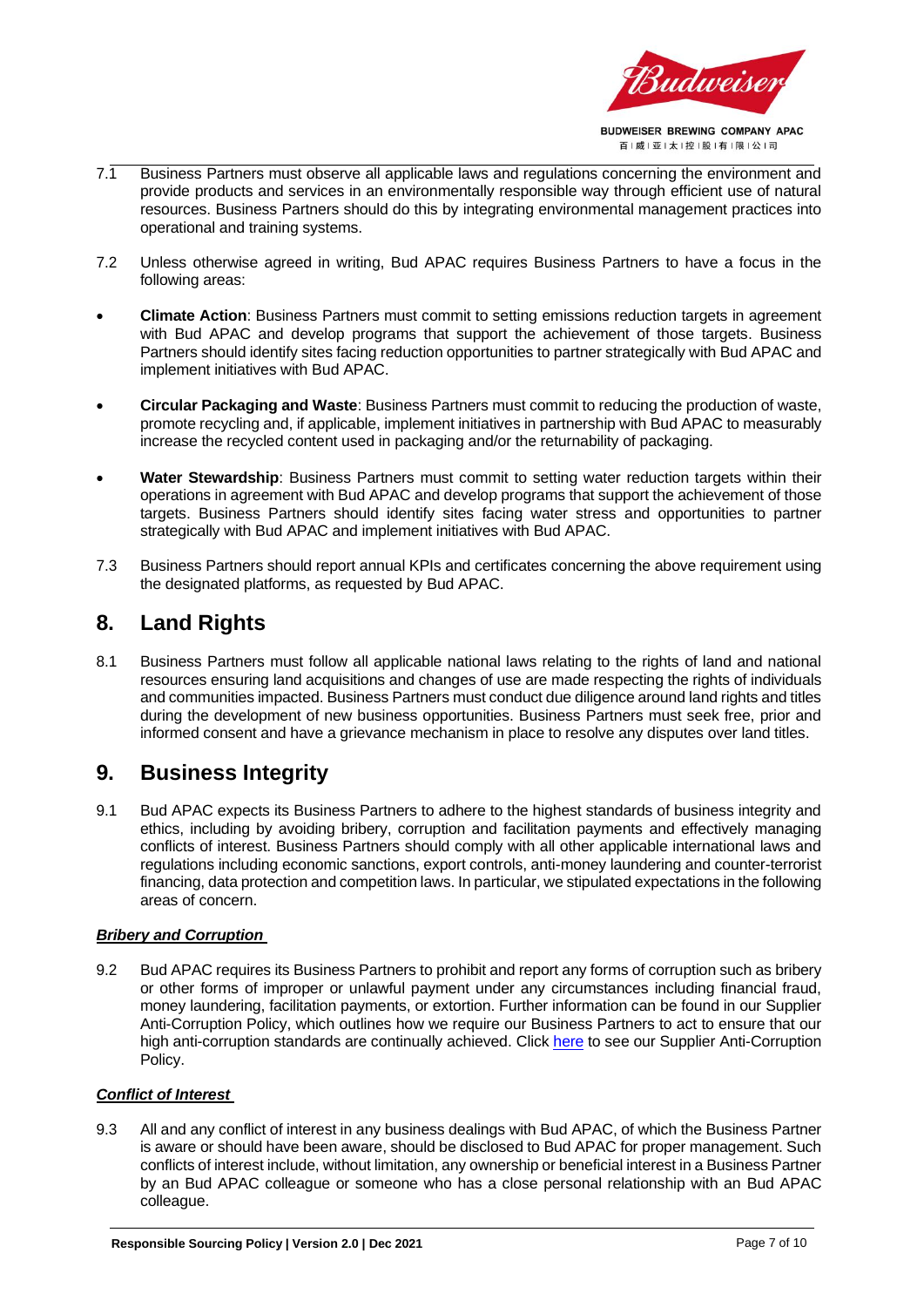

- 7.1 Business Partners must observe all applicable laws and regulations concerning the environment and provide products and services in an environmentally responsible way through efficient use of natural resources. Business Partners should do this by integrating environmental management practices into operational and training systems.
- 7.2 Unless otherwise agreed in writing, Bud APAC requires Business Partners to have a focus in the following areas:
- **Climate Action**: Business Partners must commit to setting emissions reduction targets in agreement with Bud APAC and develop programs that support the achievement of those targets. Business Partners should identify sites facing reduction opportunities to partner strategically with Bud APAC and implement initiatives with Bud APAC.
- **Circular Packaging and Waste**: Business Partners must commit to reducing the production of waste, promote recycling and, if applicable, implement initiatives in partnership with Bud APAC to measurably increase the recycled content used in packaging and/or the returnability of packaging.
- **Water Stewardship**: Business Partners must commit to setting water reduction targets within their operations in agreement with Bud APAC and develop programs that support the achievement of those targets. Business Partners should identify sites facing water stress and opportunities to partner strategically with Bud APAC and implement initiatives with Bud APAC.
- 7.3 Business Partners should report annual KPIs and certificates concerning the above requirement using the designated platforms, as requested by Bud APAC.

## <span id="page-6-0"></span>**8. Land Rights**

8.1 Business Partners must follow all applicable national laws relating to the rights of land and national resources ensuring land acquisitions and changes of use are made respecting the rights of individuals and communities impacted. Business Partners must conduct due diligence around land rights and titles during the development of new business opportunities. Business Partners must seek free, prior and informed consent and have a grievance mechanism in place to resolve any disputes over land titles.

## <span id="page-6-1"></span>**9. Business Integrity**

9.1 Bud APAC expects its Business Partners to adhere to the highest standards of business integrity and ethics, including by avoiding bribery, corruption and facilitation payments and effectively managing conflicts of interest. Business Partners should comply with all other applicable international laws and regulations including economic sanctions, export controls, anti-money laundering and counter-terrorist financing, data protection and competition laws. In particular, we stipulated expectations in the following areas of concern.

#### *Bribery and Corruption*

9.2 Bud APAC requires its Business Partners to prohibit and report any forms of corruption such as bribery or other forms of improper or unlawful payment under any circumstances including financial fraud, money laundering, facilitation payments, or extortion. Further information can be found in our Supplier Anti-Corruption Policy, which outlines how we require our Business Partners to act to ensure that our high anti-corruption standards are continually achieved. Clic[k here](https://budweiserapac.com/ace_files/files/policy/Budweiser%20APAC%20Supplier%20Anti-Corruption%20Policy_ENG.PDF) to see our Supplier Anti-Corruption Policy.

#### *Conflict of Interest*

9.3 All and any conflict of interest in any business dealings with Bud APAC, of which the Business Partner is aware or should have been aware, should be disclosed to Bud APAC for proper management. Such conflicts of interest include, without limitation, any ownership or beneficial interest in a Business Partner by an Bud APAC colleague or someone who has a close personal relationship with an Bud APAC colleague.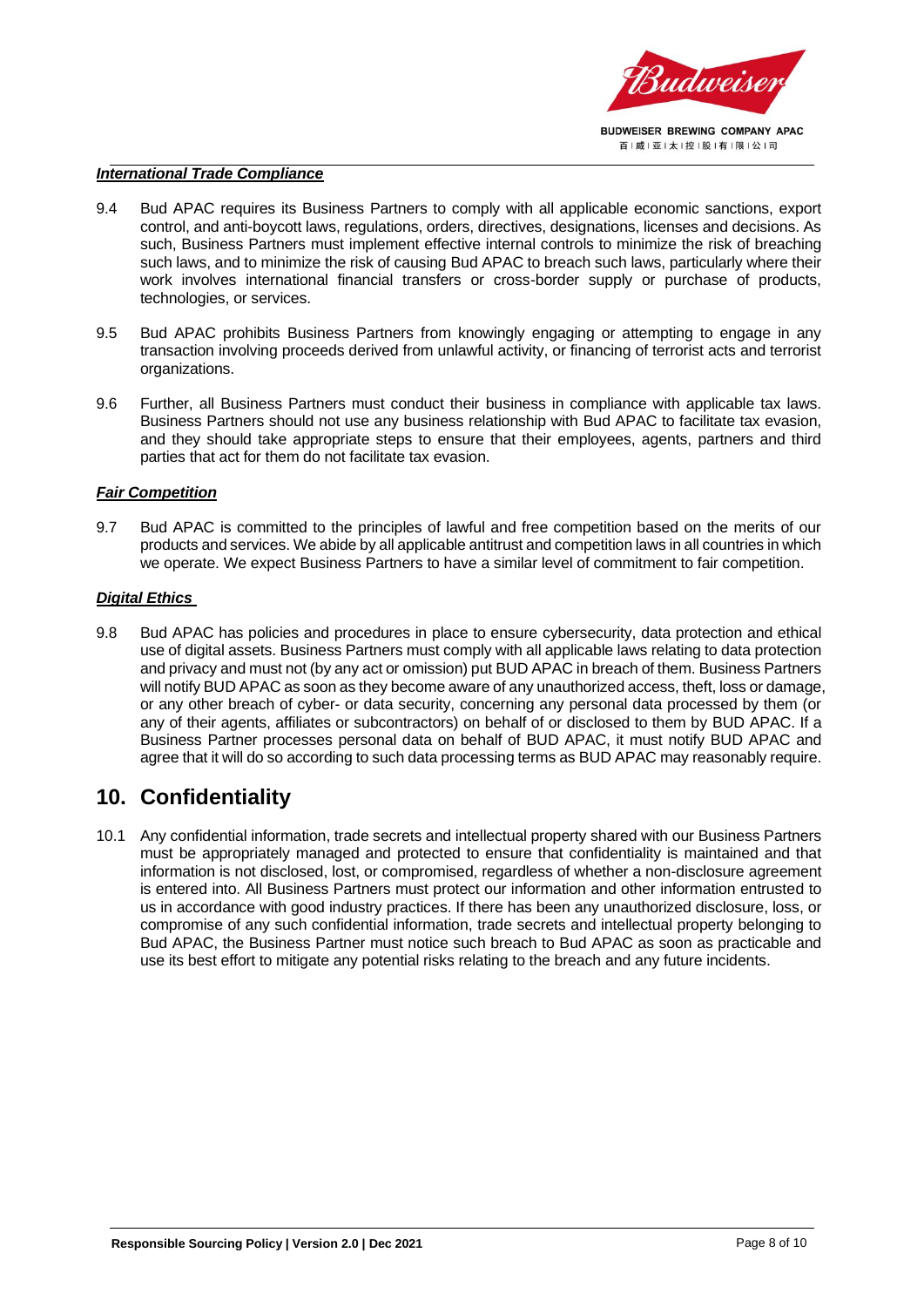

#### *International Trade Compliance*

- 9.4 Bud APAC requires its Business Partners to comply with all applicable economic sanctions, export control, and anti-boycott laws, regulations, orders, directives, designations, licenses and decisions. As such, Business Partners must implement effective internal controls to minimize the risk of breaching such laws, and to minimize the risk of causing Bud APAC to breach such laws, particularly where their work involves international financial transfers or cross-border supply or purchase of products, technologies, or services.
- 9.5 Bud APAC prohibits Business Partners from knowingly engaging or attempting to engage in any transaction involving proceeds derived from unlawful activity, or financing of terrorist acts and terrorist organizations.
- 9.6 Further, all Business Partners must conduct their business in compliance with applicable tax laws. Business Partners should not use any business relationship with Bud APAC to facilitate tax evasion, and they should take appropriate steps to ensure that their employees, agents, partners and third parties that act for them do not facilitate tax evasion.

#### *Fair Competition*

9.7 Bud APAC is committed to the principles of lawful and free competition based on the merits of our products and services. We abide by all applicable antitrust and competition laws in all countries in which we operate. We expect Business Partners to have a similar level of commitment to fair competition.

#### *Digital Ethics*

9.8 Bud APAC has policies and procedures in place to ensure cybersecurity, data protection and ethical use of digital assets. Business Partners must comply with all applicable laws relating to data protection and privacy and must not (by any act or omission) put BUD APAC in breach of them. Business Partners will notify BUD APAC as soon as they become aware of any unauthorized access, theft, loss or damage, or any other breach of cyber- or data security, concerning any personal data processed by them (or any of their agents, affiliates or subcontractors) on behalf of or disclosed to them by BUD APAC. If a Business Partner processes personal data on behalf of BUD APAC, it must notify BUD APAC and agree that it will do so according to such data processing terms as BUD APAC may reasonably require.

## <span id="page-7-0"></span>**10. Confidentiality**

10.1 Any confidential information, trade secrets and intellectual property shared with our Business Partners must be appropriately managed and protected to ensure that confidentiality is maintained and that information is not disclosed, lost, or compromised, regardless of whether a non-disclosure agreement is entered into. All Business Partners must protect our information and other information entrusted to us in accordance with good industry practices. If there has been any unauthorized disclosure, loss, or compromise of any such confidential information, trade secrets and intellectual property belonging to Bud APAC, the Business Partner must notice such breach to Bud APAC as soon as practicable and use its best effort to mitigate any potential risks relating to the breach and any future incidents.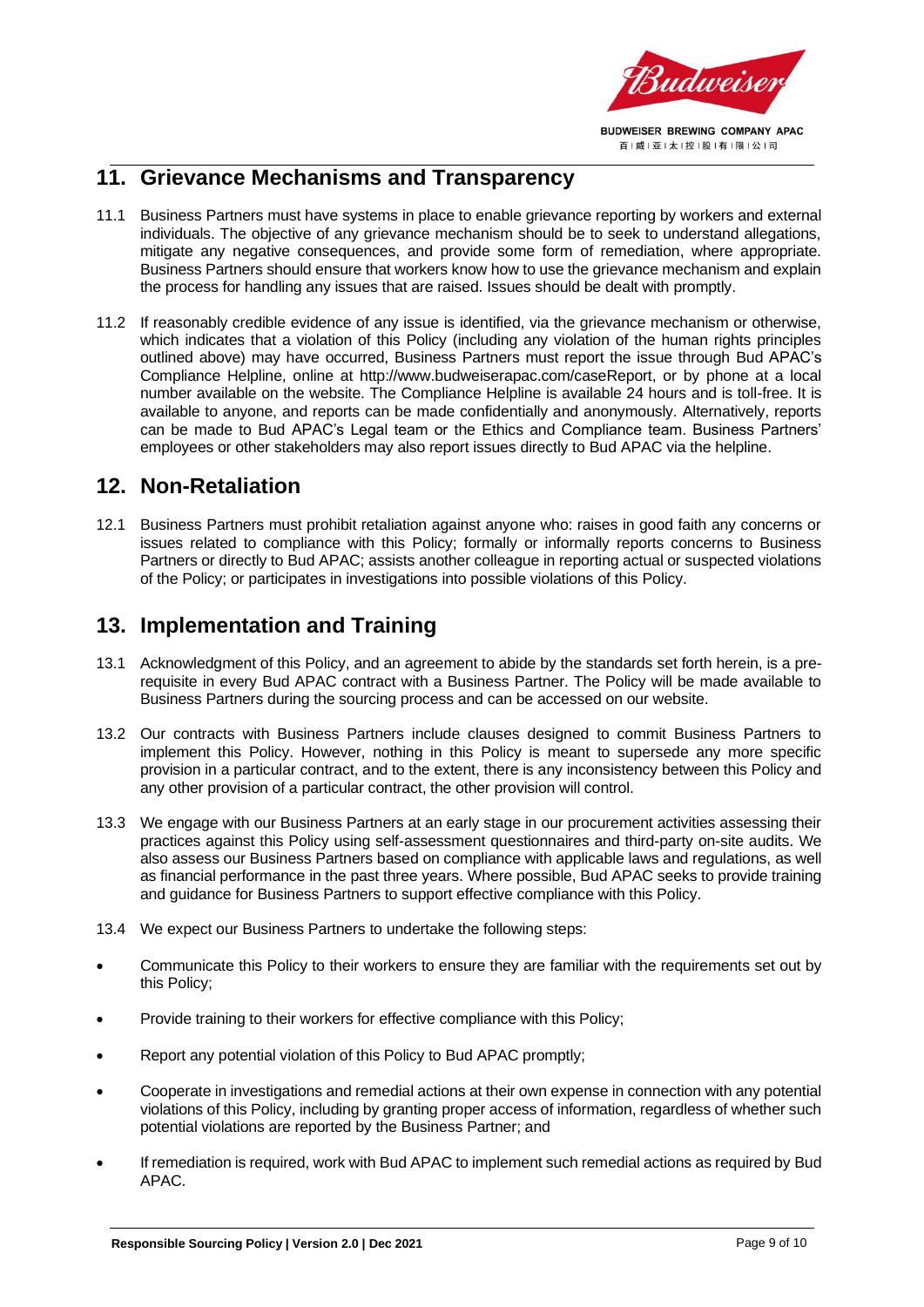

## <span id="page-8-0"></span>**11. Grievance Mechanisms and Transparency**

- 11.1 Business Partners must have systems in place to enable grievance reporting by workers and external individuals. The objective of any grievance mechanism should be to seek to understand allegations, mitigate any negative consequences, and provide some form of remediation, where appropriate. Business Partners should ensure that workers know how to use the grievance mechanism and explain the process for handling any issues that are raised. Issues should be dealt with promptly.
- 11.2 If reasonably credible evidence of any issue is identified, via the grievance mechanism or otherwise, which indicates that a violation of this Policy (including any violation of the human rights principles outlined above) may have occurred, Business Partners must report the issue through Bud APAC's Compliance Helpline, online at http://www.budweiserapac.com/caseReport, or by phone at a local number available on the website. The Compliance Helpline is available 24 hours and is toll-free. It is available to anyone, and reports can be made confidentially and anonymously. Alternatively, reports can be made to Bud APAC's Legal team or the Ethics and Compliance team. Business Partners' employees or other stakeholders may also report issues directly to Bud APAC via the helpline.

#### <span id="page-8-1"></span>**12. Non-Retaliation**

12.1 Business Partners must prohibit retaliation against anyone who: raises in good faith any concerns or issues related to compliance with this Policy; formally or informally reports concerns to Business Partners or directly to Bud APAC; assists another colleague in reporting actual or suspected violations of the Policy; or participates in investigations into possible violations of this Policy.

## <span id="page-8-2"></span>**13. Implementation and Training**

- 13.1 Acknowledgment of this Policy, and an agreement to abide by the standards set forth herein, is a prerequisite in every Bud APAC contract with a Business Partner. The Policy will be made available to Business Partners during the sourcing process and can be accessed on our website.
- 13.2 Our contracts with Business Partners include clauses designed to commit Business Partners to implement this Policy. However, nothing in this Policy is meant to supersede any more specific provision in a particular contract, and to the extent, there is any inconsistency between this Policy and any other provision of a particular contract, the other provision will control.
- 13.3 We engage with our Business Partners at an early stage in our procurement activities assessing their practices against this Policy using self-assessment questionnaires and third-party on-site audits. We also assess our Business Partners based on compliance with applicable laws and regulations, as well as financial performance in the past three years. Where possible, Bud APAC seeks to provide training and guidance for Business Partners to support effective compliance with this Policy.
- 13.4 We expect our Business Partners to undertake the following steps:
- Communicate this Policy to their workers to ensure they are familiar with the requirements set out by this Policy;
- Provide training to their workers for effective compliance with this Policy;
- Report any potential violation of this Policy to Bud APAC promptly;
- Cooperate in investigations and remedial actions at their own expense in connection with any potential violations of this Policy, including by granting proper access of information, regardless of whether such potential violations are reported by the Business Partner; and
- If remediation is required, work with Bud APAC to implement such remedial actions as required by Bud APAC.